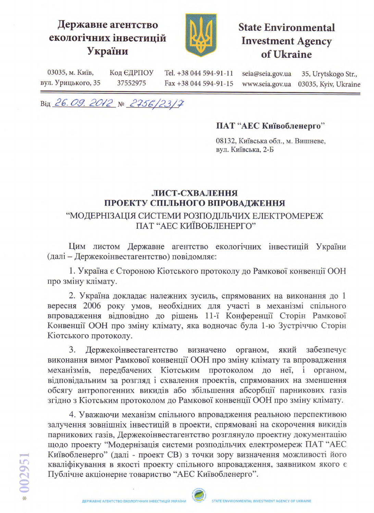## Державне агентство екологічних інвестицій України



## **State Environmental Investment Agency** of Ukraine

03035, м. Київ, Код ЄДРПОУ Tel. +38 044 594-91-11 seia@seia.gov.ua 35, Urytskogo Str., вул. Урицького, 35 37552975 Fax +38 044 594-91-15 03035, Kyiv, Ukraine www.seia.gov.ua

Від 26.09.2012 № 2756/23/7

## ПАТ "АЕС Київобленерго"

08132, Київська обл., м. Вишневе, вул. Київська, 2-Б

## ЛИСТ-СХВАЛЕННЯ ПРОЕКТУ СПІЛЬНОГО ВПРОВАДЖЕННЯ "МОДЕРНІЗАЦІЯ СИСТЕМИ РОЗПОДІЛЬЧИХ ЕЛЕКТРОМЕРЕЖ ПАТ "АЕС КИЇВОБЛЕНЕРГО"

Цим листом Державне агентство екологічних інвестицій України (далі - Держекоінвестагентство) повідомляє:

1. Україна є Стороною Кіотського протоколу до Рамкової конвенції ООН про зміну клімату.

2. Україна докладає належних зусиль, спрямованих на виконання до 1 вересня 2006 року умов, необхідних для участі в механізмі спільного впровадження відповідно до рішень 11-ї Конференції Сторін Рамкової Конвенції ООН про зміну клімату, яка водночас була 1-ю Зустріччю Сторін Кіотського протоколу.

який Держекоінвестагентство визначено органом, забезпечує  $3.$ виконання вимог Рамкової конвенції ООН про зміну клімату та впровадження механізмів, передбачених Кіотським протоколом до неї,  $\mathbf{i}$ органом, відповідальним за розгляд і схвалення проектів, спрямованих на зменшення обсягу антропогенних викидів або збільшення абсорбції парникових газів згідно з Кіотським протоколом до Рамкової конвенції ООН про зміну клімату.

4. Уважаючи механізм спільного впровадження реальною перспективою залучення зовнішніх інвестицій в проекти, спрямовані на скорочення викидів парникових газів, Держекоінвестагентство розглянуло проектну документацію щодо проекту "Модернізація системи розподільчих електромереж ПАТ "АЕС Київобленерго" (далі - проект СВ) з точки зору визначення можливості його кваліфікування в якості проекту спільного впровадження, заявником якого є Публічне акціонерне товариство "АЕС Київобленерго".